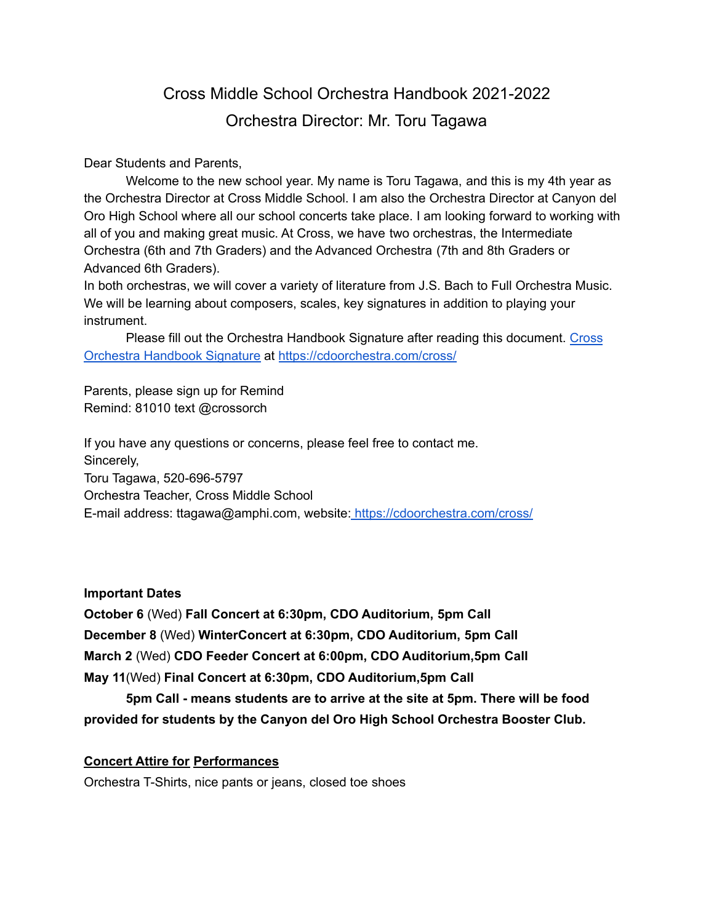# Cross Middle School Orchestra Handbook 2021-2022 Orchestra Director: Mr. Toru Tagawa

Dear Students and Parents,

Welcome to the new school year. My name is Toru Tagawa, and this is my 4th year as the Orchestra Director at Cross Middle School. I am also the Orchestra Director at Canyon del Oro High School where all our school concerts take place. I am looking forward to working with all of you and making great music. At Cross, we have two orchestras, the Intermediate Orchestra (6th and 7th Graders) and the Advanced Orchestra (7th and 8th Graders or Advanced 6th Graders).

In both orchestras, we will cover a variety of literature from J.S. Bach to Full Orchestra Music. We will be learning about composers, scales, key signatures in addition to playing your instrument.

Please fill out the Orchestra Handbook Signature after reading this document. [Cross](https://docs.google.com/forms/d/e/1FAIpQLSd8511odX_1DzgbvvP1AN2ysMV7KKHV2la23EJfzMEO3aLUNQ/viewform?usp=sf_link) Orchestra [Handbook](https://docs.google.com/forms/d/e/1FAIpQLSd8511odX_1DzgbvvP1AN2ysMV7KKHV2la23EJfzMEO3aLUNQ/viewform?usp=sf_link) Signature at <https://cdoorchestra.com/cross/>

Parents, please sign up for Remind Remind: 81010 text @crossorch

If you have any questions or concerns, please feel free to contact me. Sincerely, Toru Tagawa, 520-696-5797 Orchestra Teacher, Cross Middle School E-mail address: ttagawa@amphi.com, website: <https://cdoorchestra.com/cross/>

**Important Dates**

**October 6** (Wed) **Fall Concert at 6:30pm, CDO Auditorium, 5pm Call December 8** (Wed) **WinterConcert at 6:30pm, CDO Auditorium, 5pm Call March 2** (Wed) **CDO Feeder Concert at 6:00pm, CDO Auditorium,5pm Call May 11**(Wed) **Final Concert at 6:30pm, CDO Auditorium,5pm Call**

**5pm Call - means students are to arrive at the site at 5pm. There will be food provided for students by the Canyon del Oro High School Orchestra Booster Club.**

## **Concert Attire for Performances**

Orchestra T-Shirts, nice pants or jeans, closed toe shoes